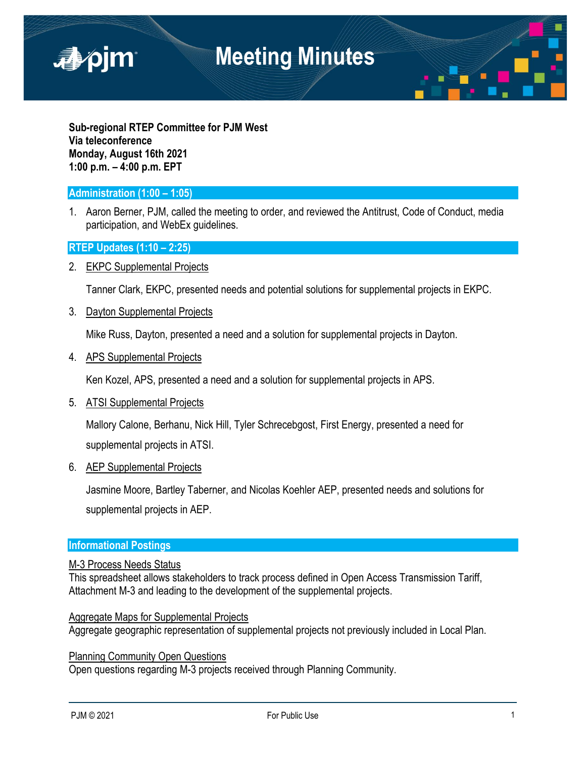

**Sub-regional RTEP Committee for PJM West Via teleconference Monday, August 16th 2021 1:00 p.m. – 4:00 p.m. EPT**

## **Administration (1:00 – 1:05)**

1. Aaron Berner, PJM, called the meeting to order, and reviewed the Antitrust, Code of Conduct, media participation, and WebEx guidelines.

### **RTEP Updates (1:10 – 2:25)**

2. EKPC Supplemental Projects

Tanner Clark, EKPC, presented needs and potential solutions for supplemental projects in EKPC.

3. Dayton Supplemental Projects

Mike Russ, Dayton, presented a need and a solution for supplemental projects in Dayton.

4. APS Supplemental Projects

Ken Kozel, APS, presented a need and a solution for supplemental projects in APS.

5. ATSI Supplemental Projects

Mallory Calone, Berhanu, Nick Hill, Tyler Schrecebgost, First Energy, presented a need for supplemental projects in ATSI.

#### 6. AEP Supplemental Projects

Jasmine Moore, Bartley Taberner, and Nicolas Koehler AEP, presented needs and solutions for supplemental projects in AEP.

#### **Informational Postings**

### M-3 Process Needs Status

This spreadsheet allows stakeholders to track process defined in Open Access Transmission Tariff, Attachment M-3 and leading to the development of the supplemental projects.

Aggregate Maps for Supplemental Projects

Aggregate geographic representation of supplemental projects not previously included in Local Plan.

Planning Community Open Questions Open questions regarding M-3 projects received through Planning Community.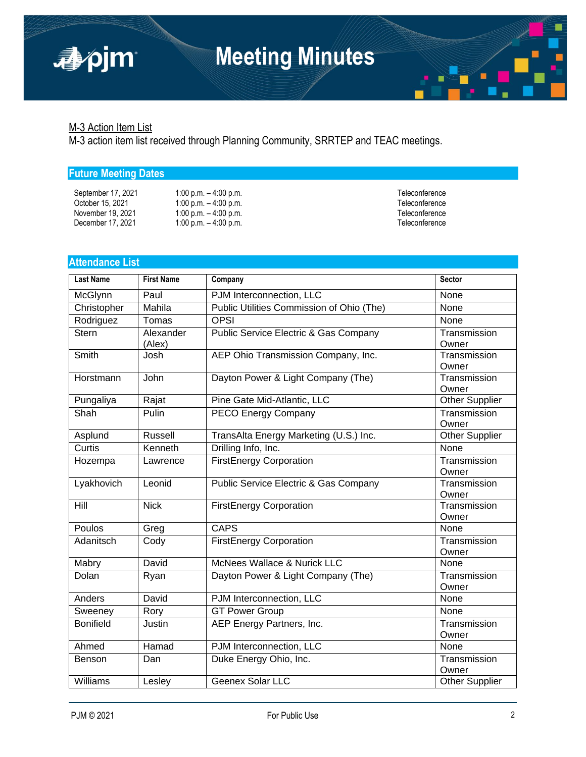## M-3 Action Item List

apjm

M-3 action item list received through Planning Community, SRRTEP and TEAC meetings.

## **Future Meeting Dates**

## **Attendance List**

| <b>Last Name</b> | <b>First Name</b>   | Company                                   | Sector                |
|------------------|---------------------|-------------------------------------------|-----------------------|
| McGlynn          | Paul                | PJM Interconnection, LLC                  | None                  |
| Christopher      | Mahila              | Public Utilities Commission of Ohio (The) | None                  |
| Rodriguez        | Tomas               | <b>OPSI</b>                               | None                  |
| <b>Stern</b>     | Alexander<br>(Alex) | Public Service Electric & Gas Company     | Transmission<br>Owner |
| Smith            | Josh                | AEP Ohio Transmission Company, Inc.       | Transmission<br>Owner |
| Horstmann        | John                | Dayton Power & Light Company (The)        | Transmission<br>Owner |
| Pungaliya        | Rajat               | Pine Gate Mid-Atlantic, LLC               | <b>Other Supplier</b> |
| Shah             | Pulin               | PECO Energy Company                       | Transmission<br>Owner |
| Asplund          | <b>Russell</b>      | TransAlta Energy Marketing (U.S.) Inc.    | <b>Other Supplier</b> |
| Curtis           | Kenneth             | Drilling Info, Inc.                       | None                  |
| Hozempa          | Lawrence            | <b>FirstEnergy Corporation</b>            | Transmission<br>Owner |
| Lyakhovich       | Leonid              | Public Service Electric & Gas Company     | Transmission<br>Owner |
| Hill             | <b>Nick</b>         | <b>FirstEnergy Corporation</b>            | Transmission<br>Owner |
| Poulos           | Greg                | <b>CAPS</b>                               | None                  |
| Adanitsch        | Cody                | <b>FirstEnergy Corporation</b>            | Transmission<br>Owner |
| Mabry            | David               | McNees Wallace & Nurick LLC               | None                  |
| Dolan            | Ryan                | Dayton Power & Light Company (The)        | Transmission<br>Owner |
| Anders           | David               | PJM Interconnection, LLC                  | None                  |
| Sweeney          | Rory                | <b>GT Power Group</b>                     | None                  |
| <b>Bonifield</b> | Justin              | AEP Energy Partners, Inc.                 | Transmission<br>Owner |
| Ahmed            | Hamad               | PJM Interconnection, LLC                  | None                  |
| Benson           | Dan                 | Duke Energy Ohio, Inc.                    | Transmission<br>Owner |
| Williams         | Lesley              | Geenex Solar LLC                          | Other Supplier        |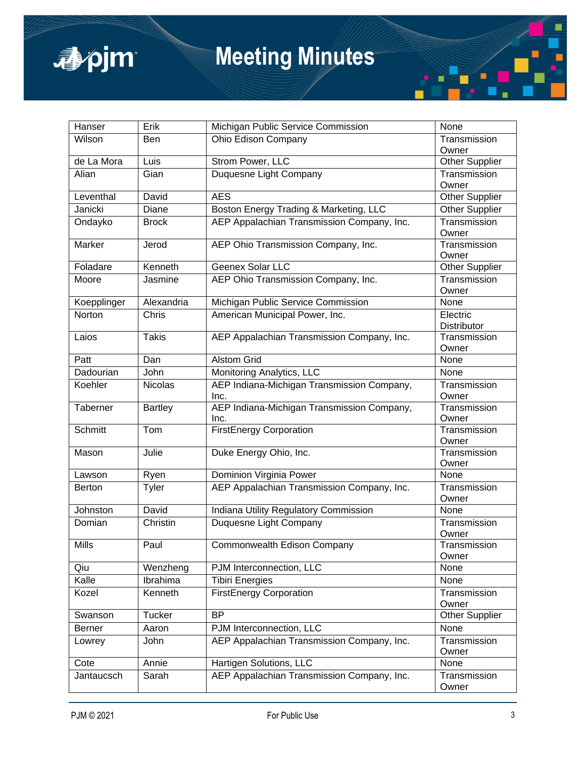

# **Meeting Minutes**

| Hanser         | Erik           | Michigan Public Service Commission                 | None                  |
|----------------|----------------|----------------------------------------------------|-----------------------|
| Wilson         | Ben            | Ohio Edison Company                                | Transmission          |
|                |                |                                                    | Owner                 |
| de La Mora     | Luis           | <b>Strom Power, LLC</b>                            | <b>Other Supplier</b> |
| Alian          | Gian           | Duquesne Light Company                             | Transmission          |
|                |                |                                                    | Owner                 |
| Leventhal      | David          | <b>AES</b>                                         | <b>Other Supplier</b> |
| Janicki        | Diane          | Boston Energy Trading & Marketing, LLC             | <b>Other Supplier</b> |
| Ondayko        | <b>Brock</b>   | AEP Appalachian Transmission Company, Inc.         | Transmission<br>Owner |
| Marker         | Jerod          | AEP Ohio Transmission Company, Inc.                | Transmission<br>Owner |
| Foladare       | Kenneth        | Geenex Solar LLC                                   | <b>Other Supplier</b> |
| Moore          | Jasmine        | AEP Ohio Transmission Company, Inc.                | Transmission<br>Owner |
| Koepplinger    | Alexandria     | Michigan Public Service Commission                 | None                  |
| Norton         | Chris          | American Municipal Power, Inc.                     | Electric              |
|                |                |                                                    | <b>Distributor</b>    |
| Laios          | <b>Takis</b>   | AEP Appalachian Transmission Company, Inc.         | Transmission          |
|                |                |                                                    | Owner                 |
| Patt           | Dan            | <b>Alstom Grid</b>                                 | None                  |
| Dadourian      | John           | Monitoring Analytics, LLC                          | None                  |
| Koehler        | <b>Nicolas</b> | AEP Indiana-Michigan Transmission Company,<br>Inc. | Transmission<br>Owner |
| Taberner       | <b>Bartley</b> | AEP Indiana-Michigan Transmission Company,<br>Inc. | Transmission<br>Owner |
| <b>Schmitt</b> | Tom            | <b>FirstEnergy Corporation</b>                     | Transmission<br>Owner |
| Mason          | Julie          | Duke Energy Ohio, Inc.                             | Transmission<br>Owner |
| Lawson         | Ryen           | Dominion Virginia Power                            | None                  |
| <b>Berton</b>  | Tyler          | AEP Appalachian Transmission Company, Inc.         | Transmission<br>Owner |
| Johnston       | David          | Indiana Utility Regulatory Commission              | None                  |
| Domian         | Christin       | Duquesne Light Company                             | Transmission<br>Owner |
| <b>Mills</b>   | Paul           | Commonwealth Edison Company                        | Transmission<br>Owner |
| Qiu            | Wenzheng       | PJM Interconnection, LLC                           | None                  |
| Kalle          | Ibrahima       | <b>Tibiri Energies</b>                             | None                  |
| Kozel          | Kenneth        | <b>FirstEnergy Corporation</b>                     | Transmission          |
|                |                |                                                    | Owner                 |
| Swanson        | <b>Tucker</b>  | BP                                                 | <b>Other Supplier</b> |
| <b>Berner</b>  | Aaron          | PJM Interconnection, LLC                           | None                  |
| Lowrey         | John           | AEP Appalachian Transmission Company, Inc.         | Transmission          |
| Cote           | Annie          | Hartigen Solutions, LLC                            | Owner<br>None         |
| Jantaucsch     | Sarah          | AEP Appalachian Transmission Company, Inc.         | Transmission          |
|                |                |                                                    | Owner                 |